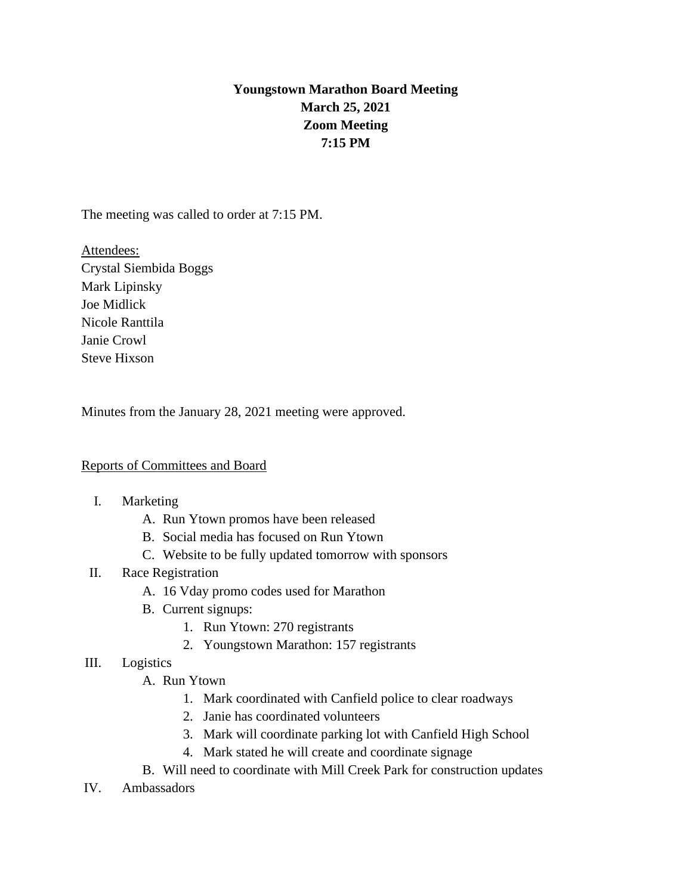# **Youngstown Marathon Board Meeting March 25, 2021 Zoom Meeting 7:15 PM**

The meeting was called to order at 7:15 PM.

Attendees: Crystal Siembida Boggs Mark Lipinsky Joe Midlick Nicole Ranttila Janie Crowl Steve Hixson

Minutes from the January 28, 2021 meeting were approved.

# Reports of Committees and Board

# I. Marketing

- A. Run Ytown promos have been released
- B. Social media has focused on Run Ytown
- C. Website to be fully updated tomorrow with sponsors
- II. Race Registration
	- A. 16 Vday promo codes used for Marathon
	- B. Current signups:
		- 1. Run Ytown: 270 registrants
		- 2. Youngstown Marathon: 157 registrants

### III. Logistics

- A. Run Ytown
	- 1. Mark coordinated with Canfield police to clear roadways
	- 2. Janie has coordinated volunteers
	- 3. Mark will coordinate parking lot with Canfield High School
	- 4. Mark stated he will create and coordinate signage
- B. Will need to coordinate with Mill Creek Park for construction updates
- IV. Ambassadors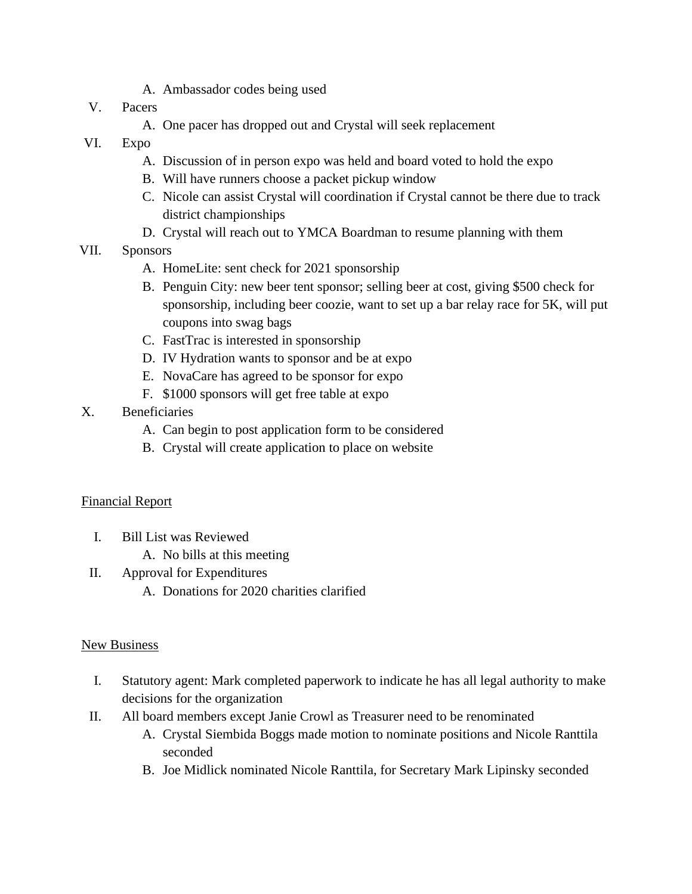- A. Ambassador codes being used
- V. Pacers
	- A. One pacer has dropped out and Crystal will seek replacement
- VI. Expo
	- A. Discussion of in person expo was held and board voted to hold the expo
	- B. Will have runners choose a packet pickup window
	- C. Nicole can assist Crystal will coordination if Crystal cannot be there due to track district championships
	- D. Crystal will reach out to YMCA Boardman to resume planning with them
- VII. Sponsors
	- A. HomeLite: sent check for 2021 sponsorship
	- B. Penguin City: new beer tent sponsor; selling beer at cost, giving \$500 check for sponsorship, including beer coozie, want to set up a bar relay race for 5K, will put coupons into swag bags
	- C. FastTrac is interested in sponsorship
	- D. IV Hydration wants to sponsor and be at expo
	- E. NovaCare has agreed to be sponsor for expo
	- F. \$1000 sponsors will get free table at expo
- X. Beneficiaries
	- A. Can begin to post application form to be considered
	- B. Crystal will create application to place on website

### Financial Report

- I. Bill List was Reviewed
	- A. No bills at this meeting
- II. Approval for Expenditures
	- A. Donations for 2020 charities clarified

### New Business

- I. Statutory agent: Mark completed paperwork to indicate he has all legal authority to make decisions for the organization
- II. All board members except Janie Crowl as Treasurer need to be renominated
	- A. Crystal Siembida Boggs made motion to nominate positions and Nicole Ranttila seconded
	- B. Joe Midlick nominated Nicole Ranttila, for Secretary Mark Lipinsky seconded